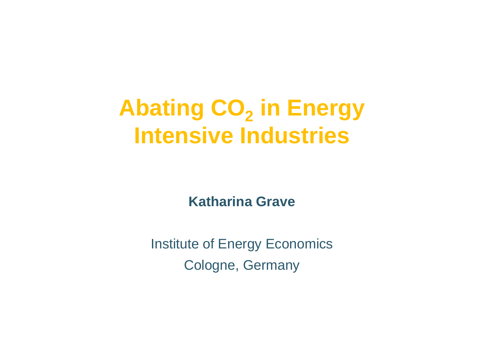Abating CO<sub>2</sub> **in Energy Intensive Industries**

**Katharina Grave**

Institute of Energy EconomicsCologne, Germany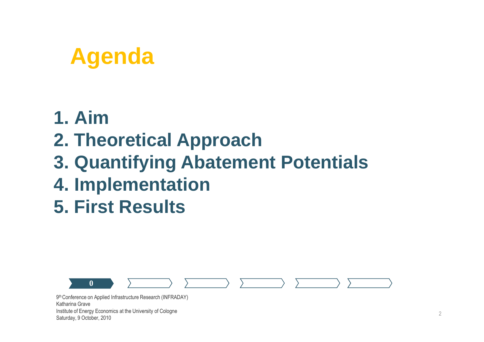## **Agenda**

#### **1. Aim**

#### **2. Theoretical Approach**

- **3. Quantifying Abatement Potentials**
- **4. Implementation**
- **5. First Results**

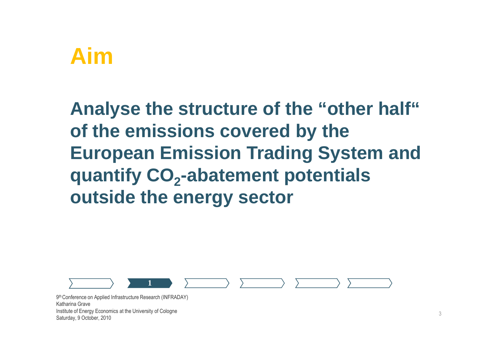## **Aim**

**Analyse the structure of the "other half" of the emissions covered by the European Emission Trading System and quantify CO -abatement potentials <sup>2</sup> outside the energy sector**

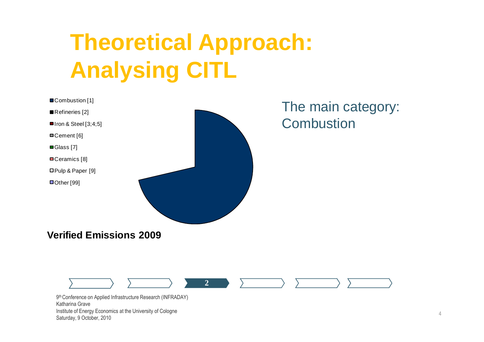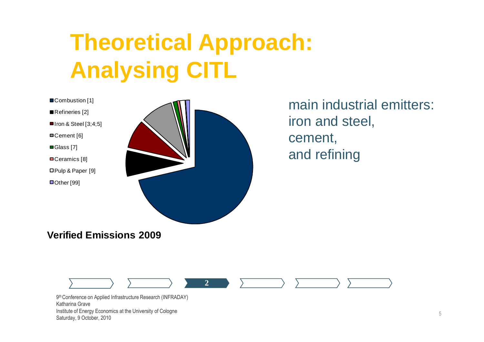

Refineries [2]

 $\blacksquare$  Iron & Steel [3;4;5]

Cement [6]

■Glass [7]

■Ceramics [8]

Pulp & Paper [9]

■Other [99]



main industrial emitters: iron and steel, cement, and refining

**Verified Emissions 2009**

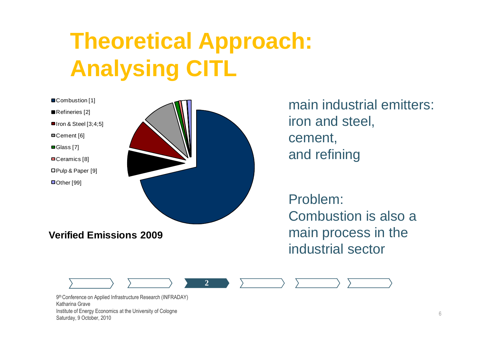

main industrial emitters: iron and steel, cement, and refining

Problem:Combustion is also a main process in the industrial sector

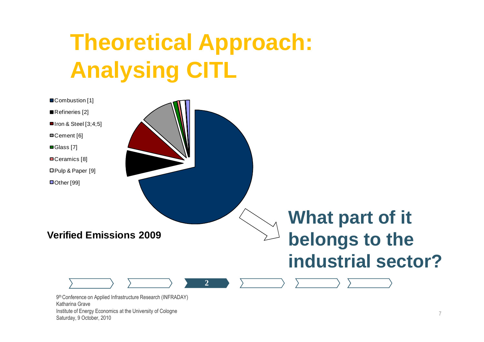

Institute of Energy Economics at the University of Cologne

Saturday, 9 October, 2010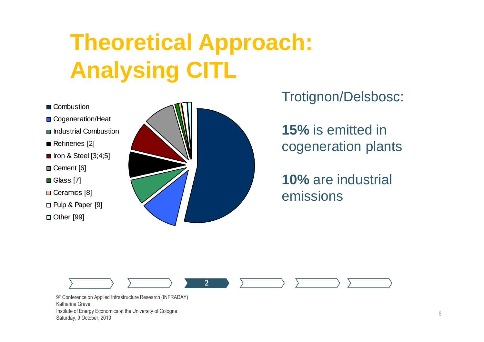- Combustion
- Cogeneration/Heat
- **□** Industrial Combustion
- Refineries [2]
- $\blacksquare$  Iron & Steel [3;4;5]
- **□ Cement [6]**
- **□ Glass [7]**
- **□ Ceramics [8]**
- □ Pulp & Paper [9]
- □ Other [99]



Trotignon/Delsbosc:

**15%** is emitted in cogeneration plants

**10%** are industrial emissions

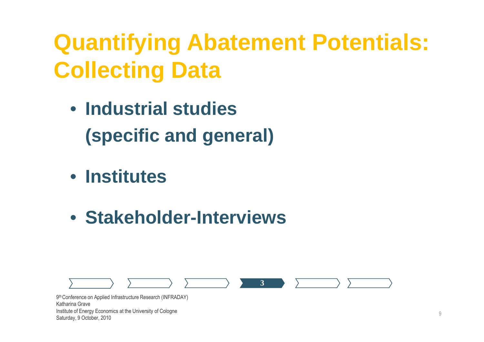## **Quantifying Abatement Potentials: Collecting Data**

- **Industrial studies (specific and general)**
- **Institutes**
- **Stakeholder-Interviews**

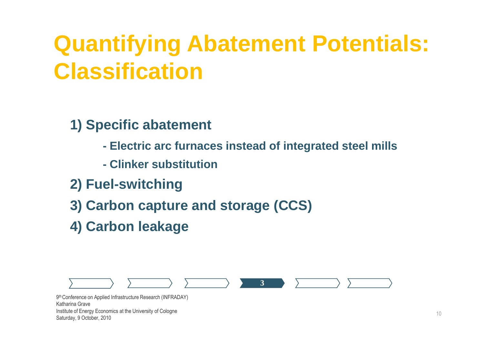## **Quantifying Abatement Potentials: Classification**

**1) Specific abatement**

- **- Electric arc furnaces instead of integrated steel mills**
- **- Clinker substitution**
- **2) Fuel-switching**
- **3) Carbon capture and storage (CCS)**
- **4) Carbon leakage**

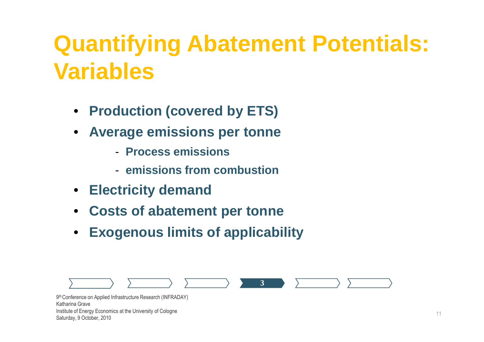## **Quantifying Abatement Potentials: Variables**

- **Production (covered by ETS)**
- $\bullet$  **Average emissions per tonne**
	- **Process emissions**
	- **emissions from combustion**
- $\bullet$ **Electricity demand**
- •**Costs of abatement per tonne**
- •**Exogenous limits of applicability**

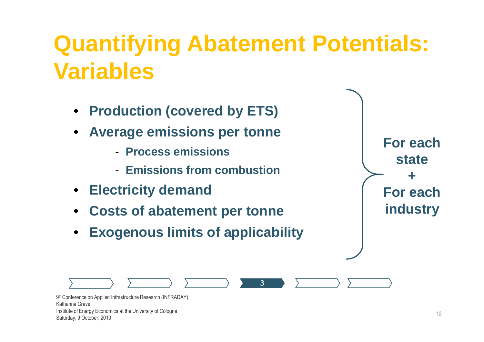## **Quantifying Abatement Potentials: Variables**

**3**

- **Production (covered by ETS) ion (covered by ETS)**<br>emissions per tonn<br>press emissions<br>issions from combustio
- $\bullet$  **Average emissions per tonne**
	- **Process emissions**
	- **Emissions from combustion**
- •**Electricity demand**
- •**Costs of abatement per tonne**
- •**Exogenous limits of applicability**

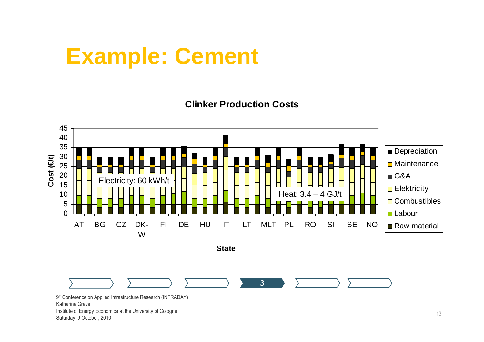#### **Example: Cement**

**Clinker Production Costs**



Saturday, 9 October, 2010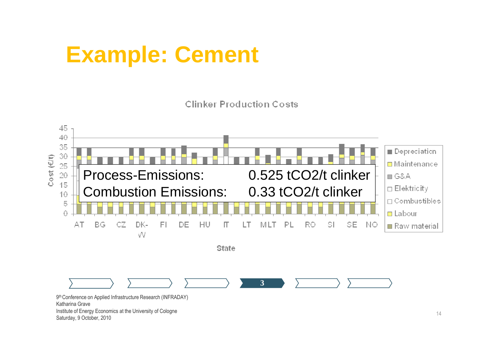## **Example: Cement**

**Clinker Production Costs** 

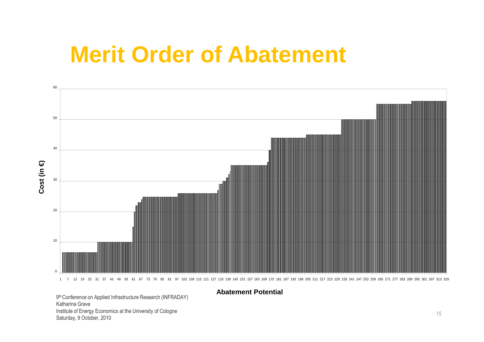#### **Merit Order of Abatement**



9<sup>th</sup> Conference on Applied Infrastructure Research (INFRADAY) Katharina Grave Institute of Energy Economics at the University of CologneSaturday, 9 October, 2010

#### **Abatement Potential**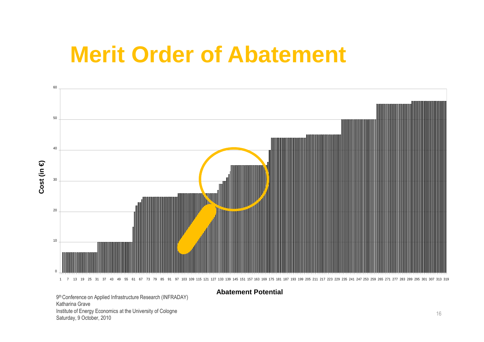#### **Merit Order of Abatement**



**Abatement Potential**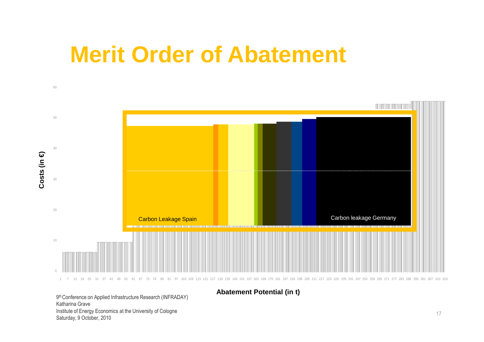#### **Merit Order of Abatement**



**Abatement Potential (in t)**

9<sup>th</sup> Conference on Applied Infrastructure Research (INFRADAY) Katharina Grave Institute of Energy Economics at the University of CologneSaturday, 9 October, 2010

60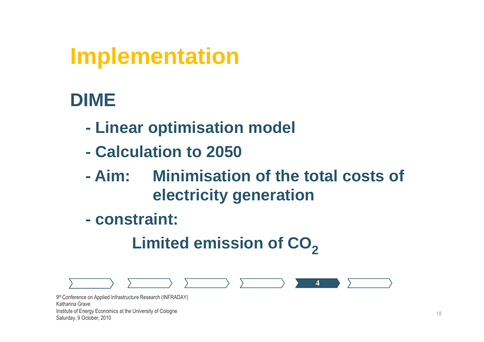#### **DIME**

- **- Linear optimisation model**
- **Calculation to 2050**
- **- Aim: Minimisation of the total costs of electricity generation**
- **constraint:**

#### **Limited emission of CO2**

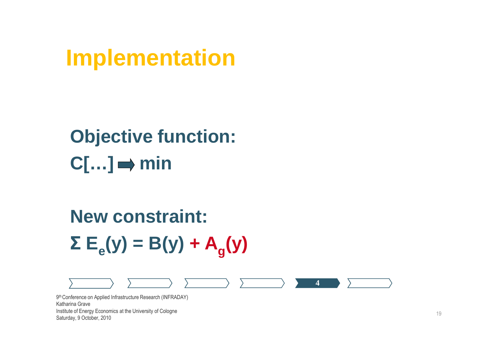#### **Objective function:** $C[...] \Rightarrow min$

## **New constraint:ΣEe(y) = B(y) + A<sup>g</sup>(y)**



Saturday, 9 October, 2010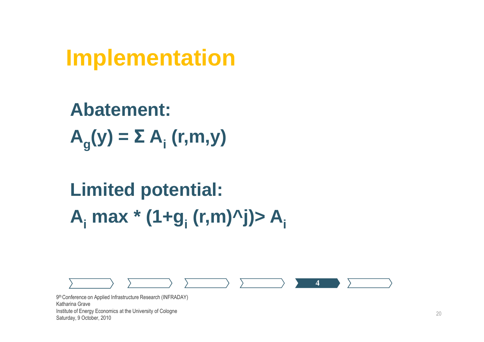**Abatement:<sup>A</sup>g(y) = Σ A<sup>i</sup> (r,m,y)**

## **Limited potential:Ai max \* (1+g<sup>i</sup> (r,m)^j)> A<sup>i</sup>**

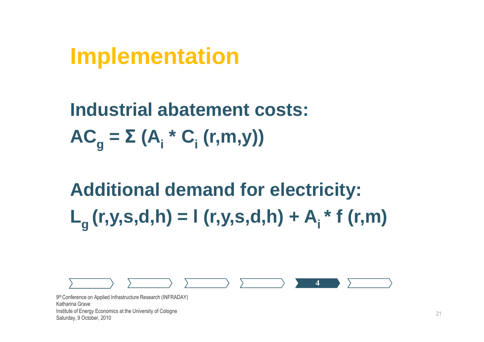**Industrial abatement costs:ACg <sup>=</sup> Σ (A<sup>i</sup> \* C<sup>i</sup> (r,m,y))**

**Additional demand for electricity:** $L_a$  (r,y,s,d,h) = l (r,y,s,d,h) + A<sub>i</sub><sup>\*</sup> f (r,m)

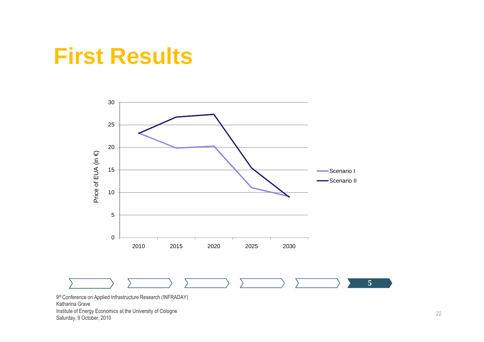#### **First Results**



Katharina Grave Institute of Energy Economics at the University of CologneSaturday, 9 October, 2010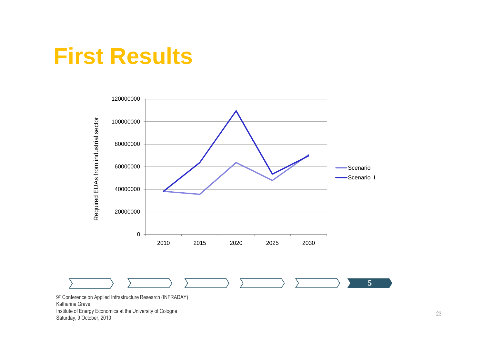#### **First Results**

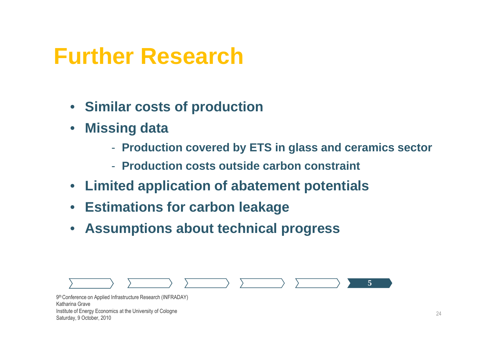#### **Further Research**

- **Similar costs of production**
- $\bullet$  **Missing data**
	- **Production covered by ETS in glass and ceramics sector**
	- **Production costs outside carbon constraint**
- **Limited application of abatement potentials**
- **Estimations for carbon leakage**
- $\bullet$ **Assumptions about technical progress**

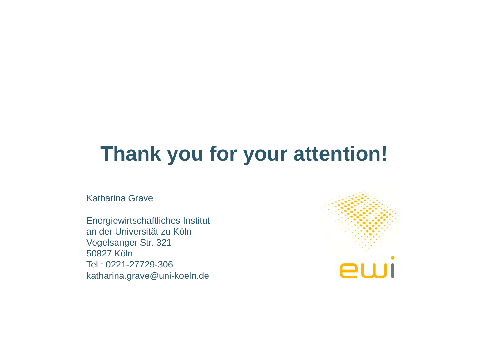#### **Thank you for your attention!**

Katharina Grave

Energiewirtschaftliches Institutan der Universität zu KölnVogelsanger Str. 32150827 Köln Tel.: 0221-27729-306katharina.grave@uni-koeln.de

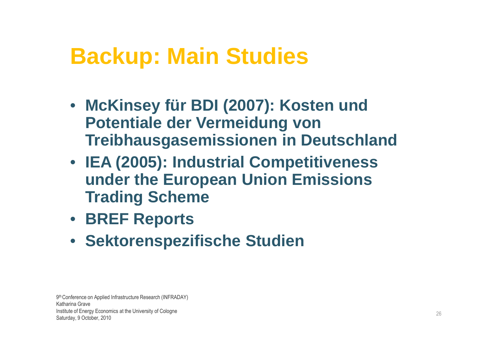## **Backup: Main Studies**

- **McKinsey für BDI (2007): Kosten und Potentiale der Vermeidung von Treibhausgasemissionen in Deutschland**
- **IEA (2005): Industrial Competitiveness under the European Union Emissions Trading Scheme**
- **BREF Reports**
- **Sektorenspezifische Studien**